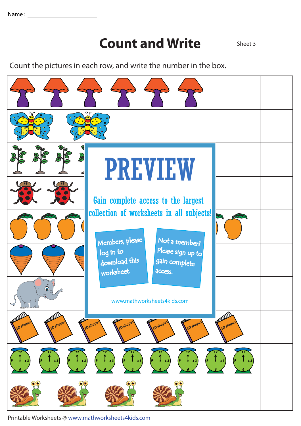## **Count and Write** Sheet 3

Count the pictures in each row, and write the number in the box.



Printable Worksheets @ www.mathworksheets4kids.com